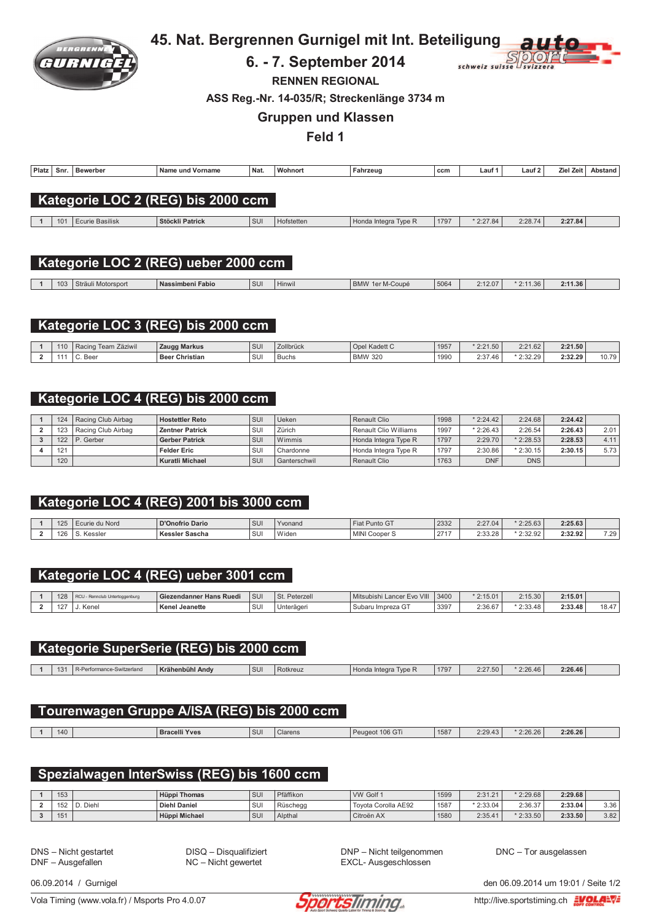

# 45. Nat. Bergrennen Gurnigel mit Int. Beteiligung

#### 6. - 7. September 2014



**RENNEN REGIONAL** 

ASS Reg.-Nr. 14-035/R; Streckenlänge 3734 m

#### **Gruppen und Klassen**

Feld 1

| Platz | <b>Snr</b> | Bewerber<br>. | Name und Vorname<br>. | <b>Nat</b> | <b>Wohnort</b> | Fahrzeuɑ | ccm<br>$ -$ | Lauf | Lauf <sub>2</sub> | Zie<br>Zeit | stand |
|-------|------------|---------------|-----------------------|------------|----------------|----------|-------------|------|-------------------|-------------|-------|
|       |            |               |                       |            |                |          |             |      |                   |             |       |

## Kategorie LOC 2 (REG) bis 2000 ccm

| 1()1 | <b>Basilisk</b><br>-curie | Stöckli Patrick | $\mathbf{A}$<br>$\sim$<br>$\cdot$ | Hofstetten | $Im \circ L$<br>anegra <sup>P</sup><br>naa<br>I VUC I | $\sim$<br>179 | $\cdots$ | 0.00<br>L.L. | .<br>.27.84 |  |
|------|---------------------------|-----------------|-----------------------------------|------------|-------------------------------------------------------|---------------|----------|--------------|-------------|--|

## Kategorie LOC 2 (REG) ueber 2000 ccm

| 103 | Sträuli<br>Motorsport | Nassimbeni Fabio | <b>SU</b> | .<br>Hinwil | <b>BMW</b><br>M-Coupe<br>-ler | 5064 | $\sim$ $12.01$ | 1.36 | 2:11.36<br>$- \cdot \cdot \cdot$ |  |
|-----|-----------------------|------------------|-----------|-------------|-------------------------------|------|----------------|------|----------------------------------|--|
|     |                       |                  |           |             |                               |      |                |      |                                  |  |

## Kategorie LOC 3 (REG) bis 2000 ccm

| 110 | Team Zäziwil<br>Raci. | Zaugg Markus             | <b>SU</b>          | Zollbrück    | Opel Kadett C           | 1957 | $*2:21.50$                             | 2.21<br>2:21.62                                                | 2:21.50           |       |
|-----|-----------------------|--------------------------|--------------------|--------------|-------------------------|------|----------------------------------------|----------------------------------------------------------------|-------------------|-------|
|     | Bee                   | <b>Christian</b><br>Beer | $\mathbf{C}$<br>ಀಀ | <b>Buchs</b> | <b>BMW 320</b><br>∵BMV∖ | 1990 | .07<br>$\overline{a}$<br>$-40$<br>2.01 | 9.32.29<br>$\epsilon \cdot \epsilon \cdot \epsilon \cdot \tau$ | 2.32.29<br>------ | 10.79 |

## Kategorie LOC 4 (REG) bis 2000 ccm

| 124 | Racing Club Airbag | <b>Hostettler Reto</b> | SUI        | Ueken        | Renault Clio          | 1998 | $*2:24.42$ | 2:24.68    | 2:24.42 |      |
|-----|--------------------|------------------------|------------|--------------|-----------------------|------|------------|------------|---------|------|
| 123 | Racing Club Airbag | <b>Zentner Patrick</b> | SUI        | Zürich       | Renault Clio Williams | 1997 | $*2:26.43$ | 2:26.54    | 2:26.43 | 2.01 |
| 122 | P. Gerber          | <b>Gerber Patrick</b>  | <b>SUI</b> | Wimmis       | Honda Integra Type R  | 1797 | 2:29.70    | $*2:28.53$ | 2:28.53 | 4.11 |
| 121 |                    | <b>Felder Eric</b>     | SUI        | Chardonne    | Honda Integra Type R  | 1797 | 2:30.86    | $*2:30.15$ | 2:30.15 | 5.73 |
| 120 |                    | Kuratli Michael        | <b>SUI</b> | Ganterschwil | Renault Clio          | 1763 | <b>DNF</b> | <b>DNS</b> |         |      |

# Kategorie LOC 4 (REG) 2001 bis 3000 ccm

| $\overline{101}$         | curie du Nord | D'Onofrio Dario          | SUI | Yvonand | $\sim$<br>` Punto G⊤<br>Fiat F | 2332        | 2:27.04 | $*2:25.63$                   | 2:25.63 |      |
|--------------------------|---------------|--------------------------|-----|---------|--------------------------------|-------------|---------|------------------------------|---------|------|
| $\overline{\phantom{0}}$ | Kessler       | Kessler<br><b>Sascha</b> | SUI | Widen   | <b>MINIC</b><br>Cooper S       | 2717<br>211 | 2:33.28 | 3.22.02<br>$\sim$<br>2:32.92 | 2:32.92 | 7.29 |

### Kategorie LOC 4 (REG) ueber 3001 ccm

|                  | Rennclub Untertoggenburg | Giezendanner Hans I<br>Ruedi | <b>SUI</b> | Peterzeli<br>$C+$ | Mitsubishi<br>NIII<br>$\overline{\phantom{a}}$<br>Lancer<br><b>EVO</b> | 3400 | $*2:15.01$ | 2:15.30          | 2:15.01 |              |
|------------------|--------------------------|------------------------------|------------|-------------------|------------------------------------------------------------------------|------|------------|------------------|---------|--------------|
| $10 -$<br>$\sim$ | Kene                     | <b>Kenel Jeanette</b>        | <b>SU</b>  | Unterägeri        | --<br>ı Impreza G1<br>Subaru                                           | 3397 | 2:36.67    | .9.22<br>2:33.48 | 2:33.48 | 10.17<br>۰.٥ |

### Kategorie SuperSerie (REG) bis 2000 ccm

| $\overline{AB}$<br>$\overline{1}$ | Switzerland. | $17 - 21$<br>$\cdots$<br>Andy<br>ähenhühl | SUI | tkreuz | Honda<br>Integl<br><b>Lyne</b> | 1797 | 2:27.50 | 46<br>$\sim$ 2.2h $-$<br>___ | 2:26.46 |  |
|-----------------------------------|--------------|-------------------------------------------|-----|--------|--------------------------------|------|---------|------------------------------|---------|--|
|                                   |              |                                           |     |        |                                |      |         |                              |         |  |

# Tourenwagen Gruppe A/ISA (REG) bis 2000 ccm

|  |  | 40 |  | <b>Bracelli Yves</b> | SUI | Clarens | 106 GTi<br>Peugeot | 1587 | 0.0010<br>2:29.43 | 2:26.26 | 2:26.26 |  |
|--|--|----|--|----------------------|-----|---------|--------------------|------|-------------------|---------|---------|--|
|--|--|----|--|----------------------|-----|---------|--------------------|------|-------------------|---------|---------|--|

#### Spezialwagen InterSwiss (REG) bis 1600 ccm

| 153 |      | <b>Hüppi Thomas</b> | <b>SU</b> | Pfäffikon | VW Golf 1           | 1599 | 2:31.21    | $*2:29.68$ | 2:29.68 |      |
|-----|------|---------------------|-----------|-----------|---------------------|------|------------|------------|---------|------|
| 152 | Dieh | <b>Diehl Daniel</b> | SUI       | Rüschegg  | Tovota Corolla AE92 | 1587 | $*2:33.04$ | 2:36.37    | 2:33.04 | 3.36 |
| 151 |      | Hüppi Michael       | SU        | Alpthal   | Citroën AX          | 1580 | 2:35.41    | $*2:33.50$ | 2:33.50 | 3.82 |

DNS - Nicht gestartet DNF - Ausgefallen

DISQ - Disqualifiziert NC - Nicht gewertet

DNP - Nicht teilgenommen EXCL- Ausgeschlossen

DNC - Tor ausgelassen

06.09.2014 / Gurnigel

Vola Timing (www.vola.fr) / Msports Pro 4.0.07



den 06.09.2014 um 19:01 / Seite 1/2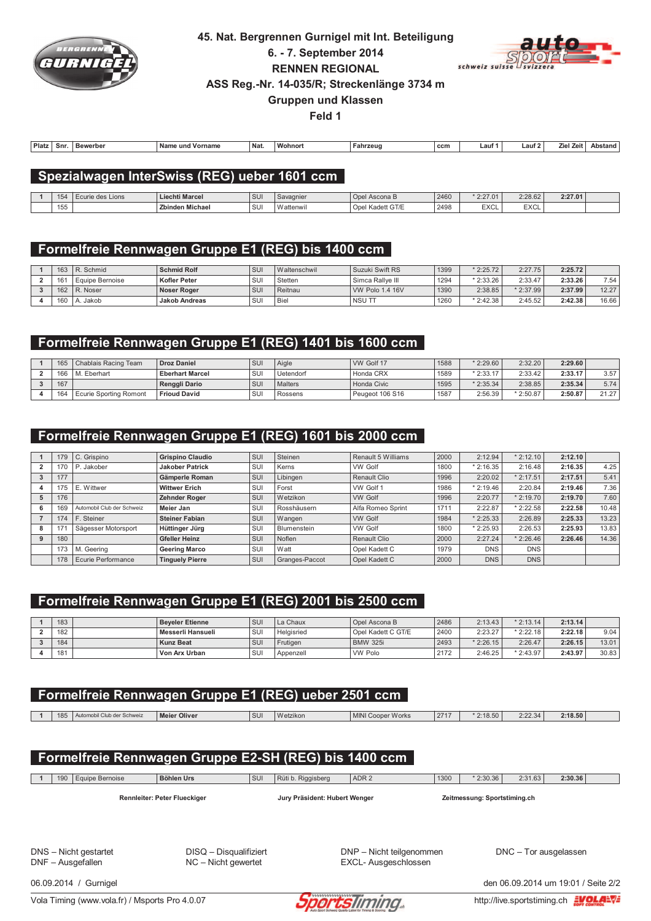

# 45. Nat. Bergrennen Gurnigel mit Int. Beteiligung 6. - 7. September 2014 **RENNEN REGIONAL**



ASS Reg.-Nr. 14-035/R; Streckenlänge 3734 m

**Gruppen und Klassen** 

Feld 1

| Platz | -Sni | Bewerber<br>n P | Name<br>Vorname<br>und | <b>Nat</b> | Wohnor | Fahrzeug | ccm | ∟aut | . au | -<br>. Zei<br>7۱۵<br><b>LID</b> | Abstand |
|-------|------|-----------------|------------------------|------------|--------|----------|-----|------|------|---------------------------------|---------|

#### Spezialwagen InterSwiss (REG) ueber 1601 ccm

| $\rightarrow$<br>l J' | Ecurie des Lions | <b>Liechti Marcel</b>  | SUI        | Savagnie  | Ascona B<br><b>UDEL</b>       | 2460 | $*2:27.01$  | 2:28.62             | 2:27.01 |  |
|-----------------------|------------------|------------------------|------------|-----------|-------------------------------|------|-------------|---------------------|---------|--|
| $1 -$<br>155          |                  | <b>Zbinden Michael</b> | C11<br>ັບບ | Wattenwir | bel Kadett GT/E<br><b>ODE</b> | 2498 | <b>EXCL</b> | $T V \cap I$<br>ᄃᄉᄂ |         |  |

## Formelfreie Rennwagen Gruppe E1 (REG) bis 1400 ccm

| 163 | R. Schmid       | <b>Schmid Rolf</b>  | l sui      | Waltenschwil | Suzuki Swift RS  | 1399 | $*2:25.72$ | 2:27.75    | 2:25.72 |       |
|-----|-----------------|---------------------|------------|--------------|------------------|------|------------|------------|---------|-------|
| 161 | Equipe Bernoise | <b>Kofler Peter</b> | SUI        | Stetten      | Simca Rallve III | 1294 | $*2:33.26$ | 2:33.47    | 2:33.26 | 7.54  |
| 162 | R. Noser        | Noser Roger         | <b>SUI</b> | Reitnau      | VW Polo 1.4 16V  | 1390 | 2:38.85    | $*2:37.99$ | 2:37.99 | 12.27 |
| 160 | Jakob           | Jakob Andreas       | SUI        | Biel         | NSU TT           | 1260 | $*2:42.38$ | 2:45.52    | 2:42.38 | 16.66 |

### Formelfreie Rennwagen Gruppe E1 (REG) 1401 bis 1600 ccm

| 165 | Chablais Racing Team   | <b>Droz Daniel</b>     | SUI               | Aigle     | WW Golf 17      | 1588 | $*2:29.60$ | 2:32.20    | 2:29.60 |       |
|-----|------------------------|------------------------|-------------------|-----------|-----------------|------|------------|------------|---------|-------|
| 166 | M. Eberhart            | <b>Eberhart Marcel</b> | <b>QHI</b><br>ou. | Uetendorf | Honda CRX       | 1589 | $*2:33.17$ | 2:33.42    | 2:33.17 | 3.57  |
| 167 |                        | Renggli Dario          | SU                | Malters   | Honda Civic     | 1595 | $*2:35.34$ | 2:38.85    | 2:35.34 | 5.74  |
| 164 | Ecurie Sporting Romont | <b>Frioud David</b>    | <b>QHI</b><br>ື   | Rossens   | Peugeot 106 S16 | 1587 | 2:56.39    | $*2:50.87$ | 2:50.87 | 21.27 |

## Formelfreie Rennwagen Gruppe E1 (REG) 1601 bis 2000 ccm

|   | 179 | C. Grispino                | <b>Grispino Claudio</b> | <b>SUI</b> | Steinen        | Renault 5 Williams | 2000 | 2:12.94    | $*2:12.10$  | 2:12.10 |       |
|---|-----|----------------------------|-------------------------|------------|----------------|--------------------|------|------------|-------------|---------|-------|
|   | 170 | P. Jakober                 | <b>Jakober Patrick</b>  | SUI        | Kerns          | <b>VW Golf</b>     | 1800 | 2:16.35    | 2:16.48     | 2:16.35 | 4.25  |
|   | 177 |                            | Gämperle Roman          | SUI        | Libingen       | Renault Clio       | 1996 | 2:20.02    | $*2:17.51$  | 2:17.51 | 5.41  |
|   | 175 | E. Wittwer                 | <b>Wittwer Erich</b>    | SUI        | Forst          | VW Golf 1          | 1986 | 2:19.46    | 2:20.84     | 2:19.46 | 7.36  |
| 5 | 176 |                            | Zehnder Roger           | l sui      | Wetzikon       | <b>VW Golf</b>     | 1996 | 2:20.77    | $*$ 2:19.70 | 2:19.70 | 7.60  |
| 6 | 169 | Automobil Club der Schweiz | Meier Jan               | SUI        | Rosshäusern    | Alfa Romeo Sprint  | 1711 | 2:22.87    | $*2:22.58$  | 2:22.58 | 10.48 |
|   | 174 | F. Steiner                 | <b>Steiner Fabian</b>   | SUI        | Wangen         | <b>VW Golf</b>     | 1984 | 2:25.33    | 2:26.89     | 2:25.33 | 13.23 |
| 8 | 171 | Sägesser Motorsport        | Hüttinger Jürg          | SUI        | Blumenstein    | <b>VW Golf</b>     | 1800 | 2:25.93    | 2:26.53     | 2:25.93 | 13.83 |
|   | 180 |                            | <b>Gfeller Heinz</b>    | <b>SUI</b> | Noflen         | Renault Clio       | 2000 | 2:27.24    | $*2:26.46$  | 2:26.46 | 14.36 |
|   | 173 | . Geerina<br>M.            | <b>Geering Marco</b>    | SUI        | Watt           | Opel Kadett C      | 1979 | <b>DNS</b> | <b>DNS</b>  |         |       |
|   | 178 | Ecurie Performance         | <b>Tinguely Pierre</b>  | SUI        | Granges-Paccot | Opel Kadett C      | 2000 | <b>DNS</b> | DNS         |         |       |

## Formelfreie Rennwagen Gruppe E1 (REG) 2001 bis 2500 ccm

| 183 | <b>Beveler Etienne</b> | SUI        | La Chaux   | Opel Ascona B      | 2486 | 2:13.43    | $*2:13.14$ | 2:13.14 |       |
|-----|------------------------|------------|------------|--------------------|------|------------|------------|---------|-------|
| 182 | Messerli Hansueli      | SUI        | Helaisried | Opel Kadett C GT/E | 2400 | 2:23.27    | $*2:22.18$ | 2:22.18 | 9.04  |
| 184 | <b>Kunz Beat</b>       | SUI        | Frutigen   | <b>BMW 325i</b>    | 2493 | $*2:26.15$ | 2:26.47    | 2:26.15 | 13.01 |
| 181 | Von Arx Urban          | <b>SUI</b> | Appenzell  | <b>VW Polo</b>     | 2172 | 2:46.25    | $*2:43.97$ | 2:43.97 | 30.83 |

# Formelfreie Rennwagen Gruppe E1 (REG) ueber 2501 ccm

| 185 | mobil Club der Schweiz<br>$\sqrt{1}$ | Meier Oliver | SUI | Wetzikon | Works<br><b>MINI Cooper</b> | 2717 | 2:18.50 | 2:22.34 | 2:18.50 |  |
|-----|--------------------------------------|--------------|-----|----------|-----------------------------|------|---------|---------|---------|--|
|     |                                      |              |     |          |                             |      |         |         |         |  |

## Formelfreie Rennwagen Gruppe E2-SH (REG) bis 1400 ccm

1 | 190 | Equipe Bernoise

Böhlen Urs

ADR<sub>2</sub> SUI Rüti b. Riggisberg

 $\star$  2:30.36 2:31.63

Rennleiter: Peter Flueckiger

Jury Präsident: Hubert Wenger

Zeitmessung: Sportstiming.ch

 $1300$ 

DNS - Nicht gestartet DNF - Ausgefallen

DISQ - Disqualifiziert NC - Nicht gewertet

DNP - Nicht teilgenommen EXCL- Ausgeschlossen

DNC - Tor ausgelassen

 $2:30.36$ 

06.09.2014 / Gurnigel

Vola Timing (www.vola.fr) / Msports Pro 4.0.07



den 06.09.2014 um 19:01 / Seite 2/2

http://live.sportstiming.ch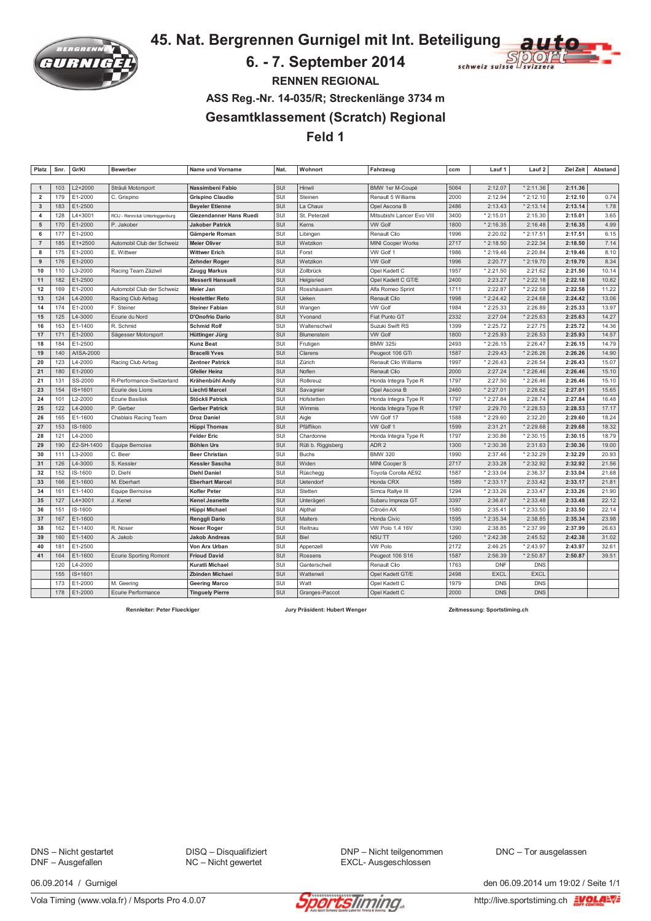

45. Nat. Bergrennen Gurnigel mit Int. Beteiligung

## 6. - 7. September 2014



**RENNEN REGIONAL** 

ASS Reg.-Nr. 14-035/R; Streckenlänge 3734 m

**Gesamtklassement (Scratch) Regional** 

Feld 1

| Platz                   | Snr. | Gr/KI      | <b>Bewerber</b>                | Name und Vorname        | Nat. | Wohnort            | Fahrzeug                   | ccm  | Lauf 1      | Lauf 2      | <b>Ziel Zeit</b> | Abstand |
|-------------------------|------|------------|--------------------------------|-------------------------|------|--------------------|----------------------------|------|-------------|-------------|------------------|---------|
|                         |      |            |                                |                         |      |                    |                            |      |             |             |                  |         |
| $\mathbf{1}$            | 103  | L2+2000    | Sträuli Motorsport             | Nassimbeni Fabio        | SUI  | Hinwil             | BMW 1er M-Coupé            | 5064 | 2:12.07     | $*2:11.36$  | 2:11.36          |         |
| $\overline{2}$          | 179  | E1-2000    | C. Grispino                    | <b>Grispino Claudio</b> | SUI  | Steinen            | Renault 5 Williams         | 2000 | 2:12.94     | $*2:12.10$  | 2:12.10          | 0.74    |
| $\mathbf{3}$            | 183  | E1-2500    |                                | <b>Beyeler Etienne</b>  | SUI  | La Chaux           | Opel Ascona B              | 2486 | 2:13.43     | $*2:13.14$  | 2:13.14          | 1.78    |
| $\overline{\mathbf{4}}$ | 128  | L4+3001    | RCU - Rennclub Untertoggenburg | Giezendanner Hans Ruedi | SUI  | St. Peterzell      | Mitsubishi Lancer Evo VIII | 3400 | $*2:15.01$  | 2:15.30     | 2:15.01          | 3.65    |
| 5                       | 170  | E1-2000    | P. Jakober                     | <b>Jakober Patrick</b>  | SUI  | Kerns              | <b>VW Golf</b>             | 1800 | * 2:16.35   | 2:16.48     | 2:16.35          | 4.99    |
| 6                       | 177  | E1-2000    |                                | Gämperle Roman          | SUI  | Libingen           | Renault Clio               | 1996 | 2:20.02     | * 2:17.51   | 2:17.51          | 6.15    |
| $\overline{7}$          | 185  | E1+2500    | Automobil Club der Schweiz     | <b>Meier Oliver</b>     | SUI  | Wetzikon           | MINI Cooper Works          | 2717 | $*2:18.50$  | 2:22.34     | 2:18.50          | 7.14    |
| 8                       | 175  | E1-2000    | E. Wittwer                     | <b>Wittwer Erich</b>    | SUI  | Forst              | VW Golf 1                  | 1986 | $*2:19.46$  | 2:20.84     | 2:19.46          | 8.10    |
| 9                       | 176  | E1-2000    |                                | Zehnder Roger           | SUI  | Wetzikon           | <b>VW Golf</b>             | 1996 | 2:20.77     | * 2:19.70   | 2:19.70          | 8.34    |
| 10                      | 110  | L3-2000    | Racing Team Zäziwil            | Zaugg Markus            | SUI  | Zollbrück          | Opel Kadett C              | 1957 | * 2:21.50   | 2:21.62     | 2:21.50          | 10.14   |
| 11                      | 182  | E1-2500    |                                | Messerli Hansueli       | SUI  | Helgisried         | Opel Kadett C GT/E         | 2400 | 2:23.27     | * 2:22.18   | 2:22.18          | 10.82   |
| 12                      | 169  | E1-2000    | Automobil Club der Schweiz     | Meier Jan               | SUI  | Rosshäusern        | Alfa Romeo Sprint          | 1711 | 2:22.87     | $*2:22.58$  | 2:22.58          | 11.22   |
| 13                      | 124  | L4-2000    | Racing Club Airbag             | <b>Hostettler Reto</b>  | SUI  | Ueken              | Renault Clio               | 1998 | $*2:24.42$  | 2:24.68     | 2:24.42          | 13.06   |
| 14                      | 174  | E1-2000    | F. Steiner                     | <b>Steiner Fabian</b>   | SUI  | Wangen             | <b>VW Golf</b>             | 1984 | $*2:25.33$  | 2:26.89     | 2:25.33          | 13.97   |
| 15                      | 125  | L4-3000    | Ecurie du Nord                 | D'Onofrio Dario         | SUI  | Yvonand            | Fiat Punto GT              | 2332 | 2:27.04     | * 2:25.63   | 2:25.63          | 14.27   |
| 16                      | 163  | E1-1400    | R. Schmid                      | <b>Schmid Rolf</b>      | SUI  | Waltenschwil       | Suzuki Swift RS            | 1399 | $*2:25.72$  | 2:27.75     | 2:25.72          | 14.36   |
| 17                      | 171  | E1-2000    | Sägesser Motorsport            | Hüttinger Jürg          | SUI  | Blumenstein        | <b>VW Golf</b>             | 1800 | * 2:25.93   | 2:26.53     | 2:25.93          | 14.57   |
| 18                      | 184  | E1-2500    |                                | <b>Kunz Beat</b>        | SUI  | Frutigen           | <b>BMW 325i</b>            | 2493 | $*2:26.15$  | 2:26.47     | 2:26.15          | 14.79   |
| 19                      | 140  | A/ISA-2000 |                                | <b>Bracelli Yves</b>    | SUI  | Clarens            | Peugeot 106 GTi            | 1587 | 2:29.43     | * 2:26.26   | 2:26.26          | 14.90   |
| 20                      | 123  | L4-2000    | Racing Club Airbag             | <b>Zentner Patrick</b>  | SUI  | Zürich             | Renault Clio Williams      | 1997 | 2:26.43     | 2:26.54     | 2:26.43          | 15.07   |
| 21                      | 180  | E1-2000    |                                | <b>Gfeller Heinz</b>    | SUI  | Noflen             | Renault Clio               | 2000 | 2:27.24     | $*2:26.46$  | 2:26.46          | 15.10   |
| 21                      | 131  | SS-2000    | R-Performance-Switzerland      | Krähenbühl Andy         | SUI  | Rotkreuz           | Honda Integra Type R       | 1797 | 2:27.50     | $*2:26.46$  | 2:26.46          | 15.10   |
| 23                      | 154  | IS+1601    | Ecurie des Lions               | <b>Liechti Marcel</b>   | SUI  | Savagnier          | Opel Ascona B              | 2460 | * 2:27.01   | 2:28.62     | 2:27.01          | 15.65   |
| 24                      | 101  | L2-2000    | <b>Ecurie Basilisk</b>         | <b>Stöckli Patrick</b>  | SUI  | Hofstetten         | Honda Integra Type R       | 1797 | $*2:27.84$  | 2:28.74     | 2:27.84          | 16.48   |
| 25                      | 122  | L4-2000    | P. Gerber                      | <b>Gerber Patrick</b>   | SUI  | Wimmis             | Honda Integra Type R       | 1797 | 2:29.70     | * 2:28.53   | 2:28.53          | 17.17   |
| 26                      | 165  | E1-1600    | Chablais Racing Team           | <b>Droz Daniel</b>      | SUI  | Aigle              | VW Golf 17                 | 1588 | * 2:29.60   | 2:32.20     | 2:29.60          | 18.24   |
| 27                      | 153  | IS-1600    |                                | <b>Hüppi Thomas</b>     | SUI  | Pfäffikon          | VW Golf 1                  | 1599 | 2:31.21     | * 2:29.68   | 2:29.68          | 18.32   |
| 28                      | 121  | L4-2000    |                                | <b>Felder Eric</b>      | SUI  | Chardonne          | Honda Integra Type R       | 1797 | 2:30.86     | * 2:30.15   | 2:30.15          | 18.79   |
| 29                      | 190  | E2-SH-1400 | Equipe Bernoise                | <b>Böhlen Urs</b>       | SUI  | Rüti b. Riggisberg | ADR <sub>2</sub>           | 1300 | $*2:30.36$  | 2:31.63     | 2:30.36          | 19.00   |
| 30                      | 111  | L3-2000    | C. Beer                        | <b>Beer Christian</b>   | SUI  | <b>Buchs</b>       | <b>BMW 320</b>             | 1990 | 2:37.46     | * 2:32.29   | 2:32.29          | 20.93   |
| 31                      | 126  | L4-3000    | S. Kessler                     | <b>Kessler Sascha</b>   | SUI  | Widen              | MINI Cooper S              | 2717 | 2:33.28     | * 2:32.92   | 2:32.92          | 21.56   |
| 32                      | 152  | IS-1600    | D. Diehl                       | <b>Diehl Daniel</b>     | SUI  | Rüschegg           | Toyota Corolla AE92        | 1587 | $*2:33.04$  | 2:36.37     | 2:33.04          | 21.68   |
| 33                      | 166  | E1-1600    | M. Eberhart                    | <b>Eberhart Marcel</b>  | SUI  | <b>Uetendorf</b>   | Honda CRX                  | 1589 | $*2:33.17$  | 2:33.42     | 2:33.17          | 21.81   |
| 34                      | 161  | E1-1400    | Equipe Bernoise                | Kofler Peter            | SUI  | Stetten            | Simca Rallye III           | 1294 | * 2:33.26   | 2:33.47     | 2:33.26          | 21.90   |
| 35                      | 127  | L4+3001    | J. Kenel                       | <b>Kenel Jeanette</b>   | SUI  | Unterägeri         | Subaru Impreza GT          | 3397 | 2:36.67     | $*2:33.48$  | 2:33.48          | 22.12   |
| 36                      | 151  | IS-1600    |                                | Hüppi Michael           | SUI  | Alpthal            | Citroën AX                 | 1580 | 2:35.41     | * 2:33.50   | 2:33.50          | 22.14   |
| 37                      | 167  | E1-1600    |                                | Renggli Dario           | SUI  | Malters            | Honda Civic                | 1595 | * 2:35.34   | 2:38.85     | 2:35.34          | 23.98   |
| 38                      | 162  | E1-1400    | R. Noser                       | Noser Roger             | SUI  | Reitnau            | VW Polo 1.4 16V            | 1390 | 2:38.85     | * 2:37.99   | 2:37.99          | 26.63   |
| 39                      | 160  | E1-1400    | A. Jakob                       | <b>Jakob Andreas</b>    | SUI  | Biel               | <b>NSUTT</b>               | 1260 | $*2:42.38$  | 2:45.52     | 2:42.38          | 31.02   |
| 40                      | 181  | E1-2500    |                                | Von Arx Urban           | SUI  | Appenzell          | <b>VW Polo</b>             | 2172 | 2:46.25     | $*2:43.97$  | 2:43.97          | 32.61   |
| 41                      | 164  | E1-1600    | <b>Ecurie Sporting Romont</b>  | <b>Frioud David</b>     | SUI  | Rossens            | Peugeot 106 S16            | 1587 | 2:56.39     | $*2:50.87$  | 2:50.87          | 39.51   |
|                         | 120  | L4-2000    |                                | <b>Kuratli Michael</b>  | SUI  | Ganterschwil       | Renault Clio               | 1763 | <b>DNF</b>  | <b>DNS</b>  |                  |         |
|                         | 155  | IS+1601    |                                | <b>Zbinden Michael</b>  | SUI  | Wattenwil          | Opel Kadett GT/E           | 2498 | <b>EXCL</b> | <b>EXCL</b> |                  |         |
|                         | 173  | E1-2000    | M. Geering                     | <b>Geering Marco</b>    | SUI  | Watt               | Opel Kadett C              | 1979 | <b>DNS</b>  | <b>DNS</b>  |                  |         |
|                         | 178  | E1-2000    | Ecurie Performance             | <b>Tinguely Pierre</b>  | SUI  | Granges-Paccot     | Opel Kadett C              | 2000 | <b>DNS</b>  | <b>DNS</b>  |                  |         |
|                         |      |            |                                |                         |      |                    |                            |      |             |             |                  |         |

**Rennleiter: Peter Flueckiger** 

Jury Präsident: Hubert Wenger

Zeitmessung: Sportstiming.ch

DNS - Nicht gestartet DNF - Ausgefallen

DISQ - Disqualifiziert NC - Nicht gewertet

DNP - Nicht teilgenommen EXCL- Ausgeschlossen

DNC - Tor ausgelassen

06.09.2014 / Gurnigel

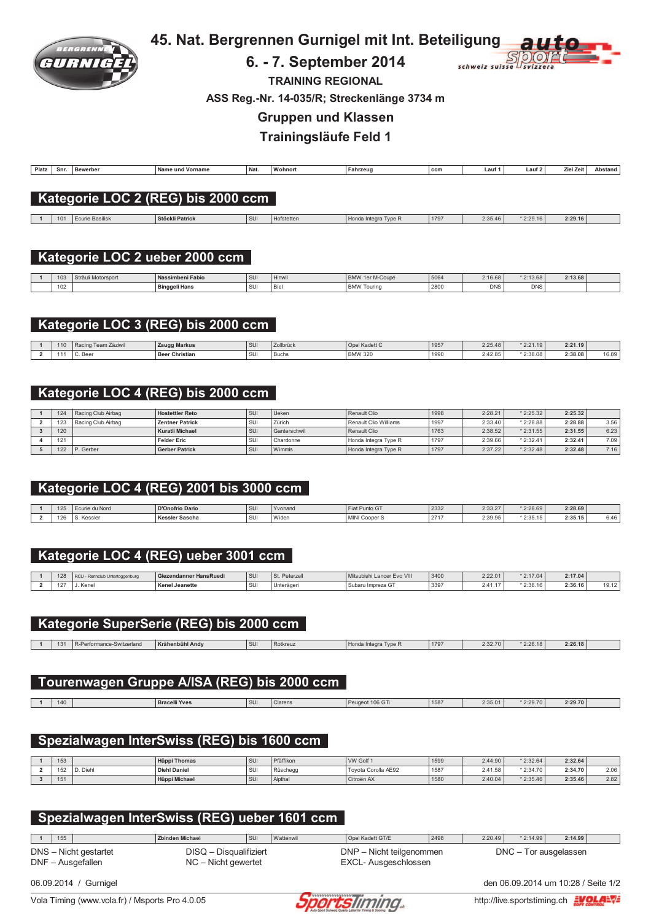

# 45. Nat. Bergrennen Gurnigel mit Int. Beteiligung

#### 6. - 7. September 2014



**TRAINING REGIONAL** 

ASS Reg.-Nr. 14-035/R; Streckenlänge 3734 m

**Gruppen und Klassen** 

Trainingsläufe Feld 1

| Platz | Snr. | Bewerbe<br>. | e und Vorname<br>' Na. | Nat. | Wohnort | Fahrzeuc | $\sim$<br>CCM | auf | Laur | . .<br>∠iel Zeit '<br>____ | Abstand |
|-------|------|--------------|------------------------|------|---------|----------|---------------|-----|------|----------------------------|---------|
|       |      |              |                        |      |         |          |               |     |      |                            |         |

### Kategorie LOC 2 (REG) bis 2000 ccm

1 101 Ecurie Basilisk Stöckli Patrick SUI Hofstetten Honda Integra Type R 1797  $2:29.16$  $2:35.46$  $*2:29.16$ 

#### Kategorie LOC 2 ueber 2000 ccm

| 103 | Sträuli Motorsport | Nassimbeni Fabio     | SU        | <b>FILLIWIL</b> | 1er M-Coupe<br><b>BMW</b> | 5064 | 2:16.68    | $*2:13.68$ | 2:13.68 |  |
|-----|--------------------|----------------------|-----------|-----------------|---------------------------|------|------------|------------|---------|--|
| 102 |                    | <b>Binggeli Hans</b> | SII<br>ັບ | Bie             | l bmw 1<br>Touring        | 2800 | <b>DNS</b> | <b>DNS</b> |         |  |

## Kategorie LOC 3 (REG) bis 2000 ccm

| 110 | ani zaziwil | <b>Zaugg Markus</b> | I SU | $\sim$ 111 and $\sim$<br>, , , , , , , , , , , , | waya n         | 1957 | 2:25.48           | 4.40<br>$\mathbf{r}$ $\mathbf{r}$<br>2.21.10 | 2.2119  |       |
|-----|-------------|---------------------|------|--------------------------------------------------|----------------|------|-------------------|----------------------------------------------|---------|-------|
|     | Веє         | r Christian<br>Bee  | ' su | Buchs                                            | <b>BMW 320</b> | 1990 | $\sim$<br>2.42.65 | '2:38.08                                     | 2:38.08 | 16.89 |

#### Kategorie LOC 4 (REG) bis 2000 ccm

| 124 | l Racing Club Airbag | <b>Hostettler Reto</b> | <b>SU</b> | Ueken               | Renault Clio          | 1998 | 2:28.21 | $*2:25.32$ | 2:25.32 |      |
|-----|----------------------|------------------------|-----------|---------------------|-----------------------|------|---------|------------|---------|------|
| 123 | Racing Club Airbag   | <b>Zentner Patrick</b> | SUI       | Zürich              | Renault Clio Williams | 1997 | 2:33.40 | $*2:28.88$ | 2:28.88 | 3.56 |
| 120 |                      | <b>Kuratli Michael</b> | <b>SU</b> | <b>Ganterschwil</b> | Renault Clio          | 1763 | 2:38.52 | $*2:31.55$ | 2:31.55 | 6.23 |
| 121 |                      | <b>Felder Eric</b>     | SUI       | Chardonne           | Honda Integra Type R  | 1797 | 2:39.66 | $*2:32.41$ | 2:32.41 | 7.09 |
| 122 | P. Gerber            | <b>Gerber Patrick</b>  | <b>SU</b> | Wimmis              | Honda Integra Type R  | 1797 | 2:37.22 | $*2:32.48$ | 2:32.48 | 7.16 |

### Kategorie LOC 4 (REG) 2001 bis 3000 ccm

| 125 | Ecurie du Nord | D'Onofrio Dario | l su | Yvonano | Fiat Punto GT | 2332        | 2:33.27 | $*2:28.69$ | 2:28.69 |      |
|-----|----------------|-----------------|------|---------|---------------|-------------|---------|------------|---------|------|
| 126 | Kessler        | Kessler Sascha  | I SU | Widen   | MINI Cooper S | 2717<br>- - | 2:39.95 | $*2:35.15$ | 2:35.15 | 6.46 |

### Kategorie LOC 4 (REG) ueber 3001 ccm

| $\sqrt{2}$<br><b>ZO</b> | rtoaaenburo | Giezendanner Hans Ruedi | <b>SU</b> | Peterze <sub>n</sub> | Evo VIII<br>Mitsubishi Lancer | 3400 | 2:22.01 | $*2:17.04$ | 2:17.04 |  |
|-------------------------|-------------|-------------------------|-----------|----------------------|-------------------------------|------|---------|------------|---------|--|
| $-2$                    | Kene        | Kenel<br>el Jeanette…   | ' SU      | elduell              | Subaru<br>mpreza G1           | 3397 | . .     | $*2:36.16$ | 2:36.16 |  |

### Kategorie SuperSerie (REG) bis 2000 ccm

| $\lambda$<br>$\sqrt{2}$ | ormance-Switzerland<br>m. | Krähenbühl Andv | l su | Rotkreuz | Honda<br>· Intear:<br>Type F<br>ונה ונוס | 1797 | 2:32.70 | 2:26.18 | 2:26.18 |  |
|-------------------------|---------------------------|-----------------|------|----------|------------------------------------------|------|---------|---------|---------|--|
|                         |                           |                 |      |          |                                          |      |         |         |         |  |

#### Tourenwagen Gruppe A/ISA (REG) bis 2000 ccm

|  |  |  | 140 |  | <b>Bracelli Yves</b> | <b>CI</b><br>$\cdot$ | Clarens | t 106 GT<br>Peugeoi | 1587 | 2:35.01 | 0.0000<br>2:29.70 | 2:29.70 |  |
|--|--|--|-----|--|----------------------|----------------------|---------|---------------------|------|---------|-------------------|---------|--|
|--|--|--|-----|--|----------------------|----------------------|---------|---------------------|------|---------|-------------------|---------|--|

### Spezialwagen InterSwiss (REG) bis 1600 ccm

| 153        |                   | <b>Hüppi Thomas</b> | l su  | Pfäffikon | WW Golf             | 1599 | 2:44.90 | $*2:32.64$ | 2:32.64 |      |
|------------|-------------------|---------------------|-------|-----------|---------------------|------|---------|------------|---------|------|
| 152        | : Diahl<br>. וסוש | Diehl Daniel        | I SUI | Rüschegg  | Tovota Corolla AE92 | 1587 | 2:41.58 | $*2:34.70$ | 2:34.70 | 2.06 |
| AB<br>ו כו |                   | Hüppi Michael       | l su  | Alptha    | Citroën AX          | 1580 | 2:40.04 | $*2:35.46$ | 2:35.46 | 2.82 |

### Spezialwagen InterSwiss (REG) ueber 1601 ccm

 $\begin{array}{|c|c|c|c|c|} \hline \textbf{1} & \textbf{155} \end{array}$ **Zbinden Michael** Opel Kadett GT/E  $\overline{\mathsf{l}$ sur Wattenwil 2498  $2:20.49$  $*2:14.99$  $2:14.99$ DNS - Nicht gestartet DISQ - Disqualifiziert DNP - Nicht teilgenommen DNC - Tor ausgelassen DNF - Ausgefallen  $NC -$  Nicht gewertet EXCL- Ausgeschlossen

06.09.2014 / Gurnigel

Vola Timing (www.vola.fr) / Msports Pro 4.0.05



den 06.09.2014 um 10:28 / Seite 1/2